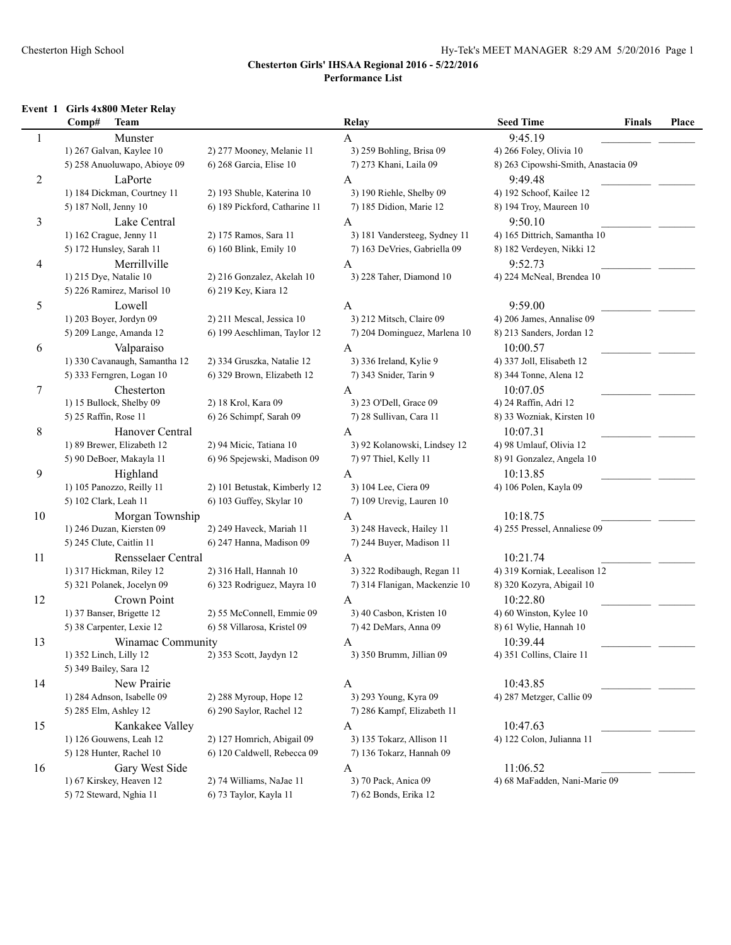#### Chesterton High School Hy-Tek's MEET MANAGER 8:29 AM 5/20/2016 Page 1

### **Chesterton Girls' IHSAA Regional 2016 - 5/22/2016 Performance List**

#### **Event 1 Girls 4x800 Meter Relay**

|                | Comp#<br>Team                 |                               | Relay                         | <b>Seed Time</b><br><b>Finals</b>   | Place |
|----------------|-------------------------------|-------------------------------|-------------------------------|-------------------------------------|-------|
| 1              | Munster                       |                               | A                             | 9:45.19                             |       |
|                | 1) 267 Galvan, Kaylee 10      | 2) 277 Mooney, Melanie 11     | 3) 259 Bohling, Brisa 09      | 4) 266 Foley, Olivia 10             |       |
|                | 5) 258 Anuoluwapo, Abioye 09  | 6) 268 Garcia, Elise 10       | 7) 273 Khani, Laila 09        | 8) 263 Cipowshi-Smith, Anastacia 09 |       |
| $\overline{c}$ | LaPorte                       |                               | A                             | 9:49.48                             |       |
|                | 1) 184 Dickman, Courtney 11   | 2) 193 Shuble, Katerina 10    | 3) 190 Riehle, Shelby 09      | 4) 192 Schoof, Kailee 12            |       |
|                | 5) 187 Noll, Jenny 10         | 6) 189 Pickford, Catharine 11 | 7) 185 Didion, Marie 12       | 8) 194 Troy, Maureen 10             |       |
| 3              | Lake Central                  |                               | A                             | 9:50.10                             |       |
|                | 1) 162 Crague, Jenny 11       | 2) 175 Ramos, Sara 11         | 3) 181 Vandersteeg, Sydney 11 | 4) 165 Dittrich, Samantha 10        |       |
|                | 5) 172 Hunsley, Sarah 11      | 6) 160 Blink, Emily 10        | 7) 163 DeVries, Gabriella 09  | 8) 182 Verdeyen, Nikki 12           |       |
| 4              | Merrillville                  |                               | A                             | 9:52.73                             |       |
|                | 1) 215 Dye, Natalie 10        | 2) 216 Gonzalez, Akelah 10    | 3) 228 Taher, Diamond 10      | 4) 224 McNeal, Brendea 10           |       |
|                | 5) 226 Ramirez, Marisol 10    | 6) 219 Key, Kiara 12          |                               |                                     |       |
| 5              | Lowell                        |                               | A                             | 9:59.00                             |       |
|                | 1) 203 Boyer, Jordyn 09       | 2) 211 Mescal, Jessica 10     | 3) 212 Mitsch, Claire 09      | 4) 206 James, Annalise 09           |       |
|                | 5) 209 Lange, Amanda 12       | 6) 199 Aeschliman, Taylor 12  | 7) 204 Dominguez, Marlena 10  | 8) 213 Sanders, Jordan 12           |       |
| 6              | Valparaiso                    |                               | A                             | 10:00.57                            |       |
|                | 1) 330 Cavanaugh, Samantha 12 | 2) 334 Gruszka, Natalie 12    | 3) 336 Ireland, Kylie 9       | 4) 337 Joll, Elisabeth 12           |       |
|                | 5) 333 Ferngren, Logan 10     | 6) 329 Brown, Elizabeth 12    | 7) 343 Snider, Tarin 9        | 8) 344 Tonne, Alena 12              |       |
| 7              | Chesterton                    |                               | A                             | 10:07.05                            |       |
|                | 1) 15 Bullock, Shelby 09      | 2) 18 Krol, Kara 09           | 3) 23 O'Dell, Grace 09        | 4) 24 Raffin, Adri 12               |       |
|                | 5) 25 Raffin, Rose 11         | 6) 26 Schimpf, Sarah 09       | 7) 28 Sullivan, Cara 11       | 8) 33 Wozniak, Kirsten 10           |       |
| 8              | Hanover Central               |                               | A                             | 10:07.31                            |       |
|                | 1) 89 Brewer, Elizabeth 12    | 2) 94 Micic, Tatiana 10       | 3) 92 Kolanowski, Lindsey 12  | 4) 98 Umlauf, Olivia 12             |       |
|                | 5) 90 DeBoer, Makayla 11      | 6) 96 Spejewski, Madison 09   | 7) 97 Thiel, Kelly 11         | 8) 91 Gonzalez, Angela 10           |       |
| 9              | Highland                      |                               | A                             | 10:13.85                            |       |
|                | 1) 105 Panozzo, Reilly 11     | 2) 101 Betustak, Kimberly 12  | 3) 104 Lee, Ciera 09          | 4) 106 Polen, Kayla 09              |       |
|                | 5) 102 Clark, Leah 11         | 6) 103 Guffey, Skylar 10      | 7) 109 Urevig, Lauren 10      |                                     |       |
| 10             | Morgan Township               |                               | A                             | 10:18.75                            |       |
|                | 1) 246 Duzan, Kiersten 09     | 2) 249 Haveck, Mariah 11      | 3) 248 Haveck, Hailey 11      | 4) 255 Pressel, Annaliese 09        |       |
|                | 5) 245 Clute, Caitlin 11      | 6) 247 Hanna, Madison 09      | 7) 244 Buyer, Madison 11      |                                     |       |
| 11             | Rensselaer Central            |                               | A                             | 10:21.74                            |       |
|                | 1) 317 Hickman, Riley 12      | 2) 316 Hall, Hannah 10        | 3) 322 Rodibaugh, Regan 11    | 4) 319 Korniak, Leealison 12        |       |
|                | 5) 321 Polanek, Jocelyn 09    | 6) 323 Rodriguez, Mayra 10    | 7) 314 Flanigan, Mackenzie 10 | 8) 320 Kozyra, Abigail 10           |       |
| 12             | Crown Point                   |                               | A                             | 10:22.80                            |       |
|                | 1) 37 Banser, Brigette 12     | 2) 55 McConnell, Emmie 09     | 3) 40 Casbon, Kristen 10      | 4) 60 Winston, Kylee 10             |       |
|                | 5) 38 Carpenter, Lexie 12     | 6) 58 Villarosa, Kristel 09   | 7) 42 DeMars, Anna 09         | 8) 61 Wylie, Hannah 10              |       |
| 13             | Winamac Community             |                               | A                             | 10:39.44                            |       |
|                | 1) 352 Linch, Lilly 12        | 2) 353 Scott, Jaydyn 12       | 3) 350 Brumm, Jillian 09      | 4) 351 Collins, Claire 11           |       |
|                | 5) 349 Bailey, Sara 12        |                               |                               |                                     |       |
| 14             | New Prairie                   |                               | A                             | 10:43.85                            |       |
|                | 1) 284 Adnson, Isabelle 09    | 2) 288 Myroup, Hope 12        | 3) 293 Young, Kyra 09         | 4) 287 Metzger, Callie 09           |       |
|                | 5) 285 Elm, Ashley 12         | 6) 290 Saylor, Rachel 12      | 7) 286 Kampf, Elizabeth 11    |                                     |       |
| 15             | Kankakee Valley               |                               | A                             | 10:47.63                            |       |
|                | 1) 126 Gouwens, Leah 12       | 2) 127 Homrich, Abigail 09    | 3) 135 Tokarz, Allison 11     | 4) 122 Colon, Julianna 11           |       |
|                | 5) 128 Hunter, Rachel 10      | 6) 120 Caldwell, Rebecca 09   | 7) 136 Tokarz, Hannah 09      |                                     |       |
| 16             | Gary West Side                |                               | A                             | 11:06.52                            |       |
|                | 1) 67 Kirskey, Heaven 12      | 2) 74 Williams, NaJae 11      | 3) 70 Pack, Anica 09          | 4) 68 MaFadden, Nani-Marie 09       |       |
|                | 5) 72 Steward, Nghia 11       | 6) 73 Taylor, Kayla 11        | 7) 62 Bonds, Erika 12         |                                     |       |
|                |                               |                               |                               |                                     |       |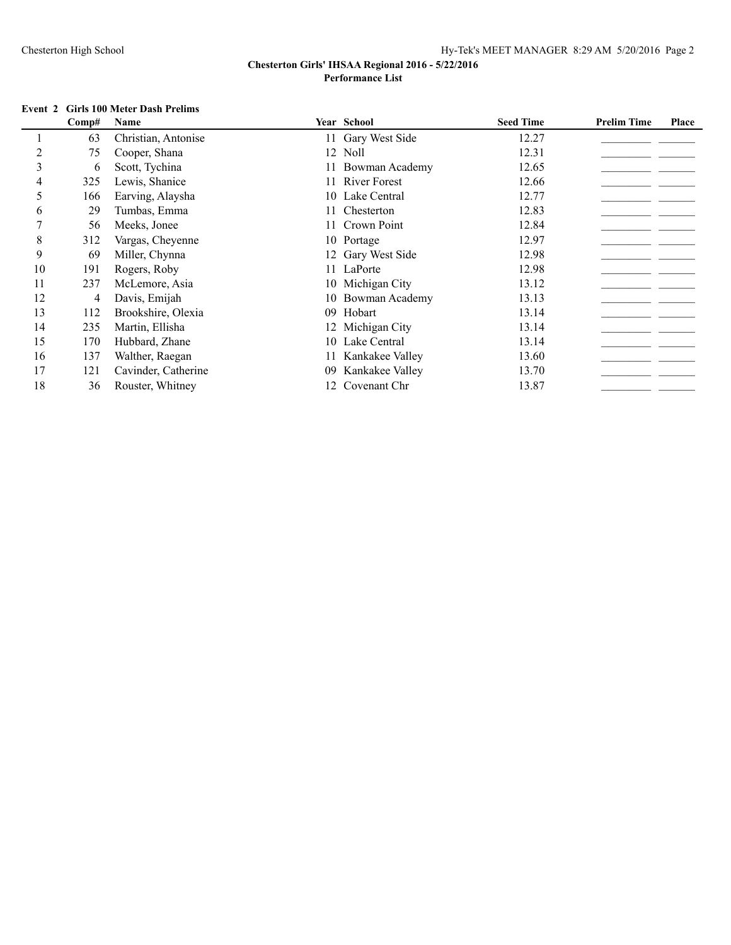#### **Event 2 Girls 100 Meter Dash Prelims**

|    | Comp# | Name                |     | Year School       | <b>Seed Time</b> | <b>Prelim Time</b> | Place |
|----|-------|---------------------|-----|-------------------|------------------|--------------------|-------|
|    | 63    | Christian, Antonise |     | 11 Gary West Side | 12.27            |                    |       |
|    | 75    | Cooper, Shana       |     | 12 Noll           | 12.31            |                    |       |
| 3  | 6     | Scott, Tychina      |     | 11 Bowman Academy | 12.65            |                    |       |
|    | 325   | Lewis, Shanice      |     | 11 River Forest   | 12.66            |                    |       |
| 5. | 166   | Earving, Alaysha    |     | 10 Lake Central   | 12.77            |                    |       |
| 6  | 29    | Tumbas, Emma        |     | 11 Chesterton     | 12.83            |                    |       |
|    | 56    | Meeks, Jonee        |     | 11 Crown Point    | 12.84            |                    |       |
| 8  | 312   | Vargas, Cheyenne    |     | 10 Portage        | 12.97            |                    |       |
| 9  | 69    | Miller, Chynna      |     | 12 Gary West Side | 12.98            |                    |       |
| 10 | 191   | Rogers, Roby        |     | 11 LaPorte        | 12.98            |                    |       |
| 11 | 237   | McLemore, Asia      |     | 10 Michigan City  | 13.12            |                    |       |
| 12 | 4     | Davis, Emijah       |     | 10 Bowman Academy | 13.13            |                    |       |
| 13 | 112   | Brookshire, Olexia  | 09  | Hobart            | 13.14            |                    |       |
| 14 | 235   | Martin, Ellisha     |     | 12 Michigan City  | 13.14            |                    |       |
| 15 | 170   | Hubbard, Zhane      | 10. | Lake Central      | 13.14            |                    |       |
| 16 | 137   | Walther, Raegan     |     | Kankakee Valley   | 13.60            |                    |       |
| 17 | 121   | Cavinder, Catherine | 09  | Kankakee Valley   | 13.70            |                    |       |
| 18 | 36    | Rouster, Whitney    | 12. | Covenant Chr      | 13.87            |                    |       |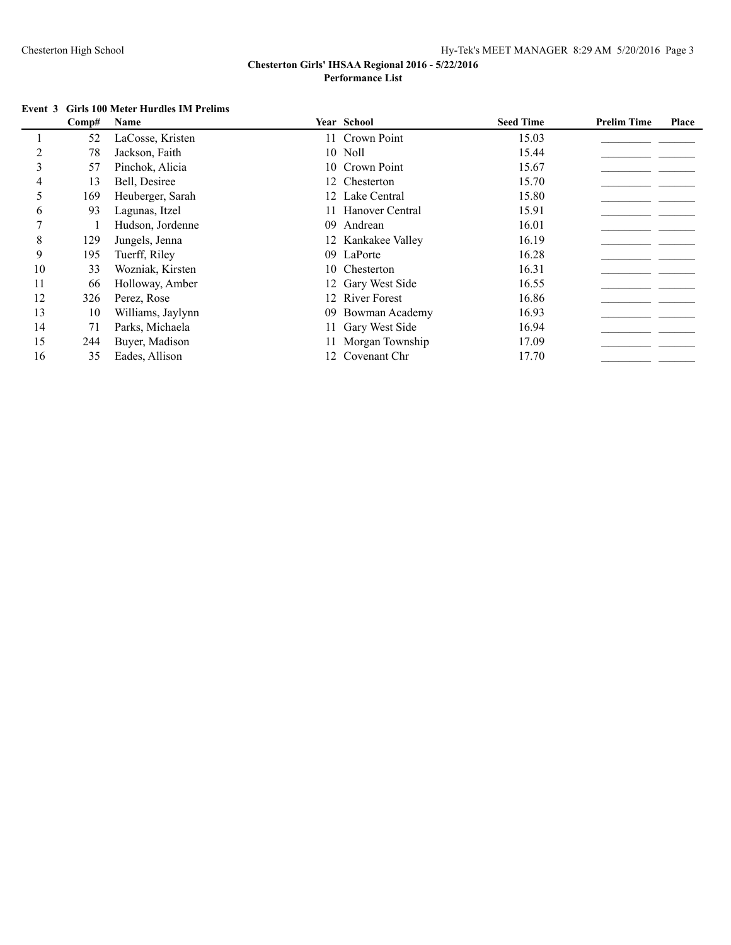# **Event 3 Girls 100 Meter Hurdles IM Prelims**

|    | Comp# | Name              |    | Year School         | <b>Seed Time</b> | <b>Prelim Time</b> | Place |
|----|-------|-------------------|----|---------------------|------------------|--------------------|-------|
|    | 52    | LaCosse, Kristen  |    | 11 Crown Point      | 15.03            |                    |       |
|    | 78    | Jackson, Faith    |    | 10 Noll             | 15.44            |                    |       |
| 3  | 57    | Pinchok, Alicia   |    | 10 Crown Point      | 15.67            |                    |       |
|    | 13    | Bell, Desiree     |    | 12 Chesterton       | 15.70            |                    |       |
|    | 169   | Heuberger, Sarah  |    | 12 Lake Central     | 15.80            |                    |       |
| 6  | 93    | Lagunas, Itzel    |    | Hanover Central     | 15.91            |                    |       |
|    |       | Hudson, Jordenne  | 09 | Andrean             | 16.01            |                    |       |
| 8  | 129   | Jungels, Jenna    |    | 12 Kankakee Valley  | 16.19            |                    |       |
| 9  | 195   | Tuerff, Riley     |    | 09 LaPorte          | 16.28            |                    |       |
| 10 | 33    | Wozniak, Kirsten  |    | 10 Chesterton       | 16.31            |                    |       |
| 11 | 66    | Holloway, Amber   |    | 12 Gary West Side   | 16.55            |                    |       |
| 12 | 326   | Perez, Rose       | 12 | <b>River Forest</b> | 16.86            |                    |       |
| 13 | 10    | Williams, Jaylynn |    | 09 Bowman Academy   | 16.93            |                    |       |
| 14 | 71    | Parks, Michaela   |    | 11 Gary West Side   | 16.94            |                    |       |
| 15 | 244   | Buyer, Madison    |    | 11 Morgan Township  | 17.09            |                    |       |
| 16 | 35    | Eades, Allison    |    | 12 Covenant Chr     | 17.70            |                    |       |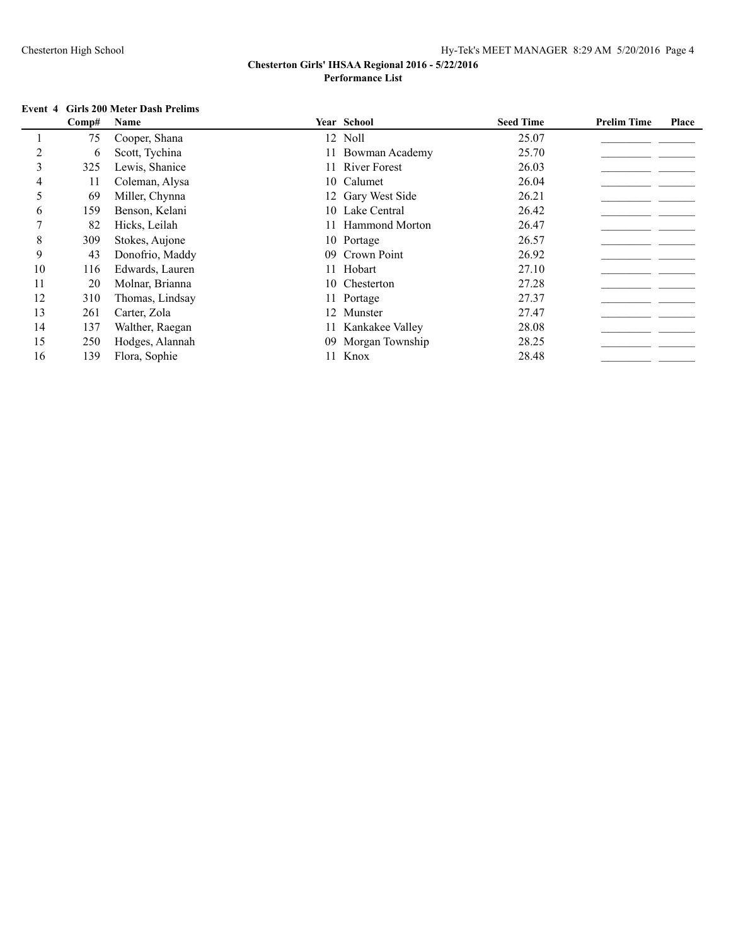#### **Event 4 Girls 200 Meter Dash Prelims**

|    | Comp# | Name            |     | Year School           | <b>Seed Time</b> | <b>Prelim Time</b> | Place |
|----|-------|-----------------|-----|-----------------------|------------------|--------------------|-------|
|    | 75    | Cooper, Shana   |     | 12 Noll               | 25.07            |                    |       |
|    | 6     | Scott, Tychina  |     | 11 Bowman Academy     | 25.70            |                    |       |
| 3  | 325   | Lewis, Shanice  |     | 11 River Forest       | 26.03            |                    |       |
|    | 11    | Coleman, Alysa  |     | 10 Calumet            | 26.04            |                    |       |
| 5  | 69    | Miller, Chynna  |     | 12 Gary West Side     | 26.21            |                    |       |
| 6  | 159   | Benson, Kelani  |     | 10 Lake Central       | 26.42            |                    |       |
|    | 82    | Hicks, Leilah   | 11. | <b>Hammond Morton</b> | 26.47            |                    |       |
| 8  | 309   | Stokes, Aujone  |     | 10 Portage            | 26.57            |                    |       |
| 9  | 43    | Donofrio, Maddy |     | 09 Crown Point        | 26.92            |                    |       |
| 10 | 116   | Edwards, Lauren |     | 11 Hobart             | 27.10            |                    |       |
| 11 | 20    | Molnar, Brianna |     | 10 Chesterton         | 27.28            |                    |       |
| 12 | 310   | Thomas, Lindsay |     | 11 Portage            | 27.37            |                    |       |
| 13 | 261   | Carter, Zola    |     | 12 Munster            | 27.47            |                    |       |
| 14 | 137   | Walther, Raegan |     | 11 Kankakee Valley    | 28.08            |                    |       |
| 15 | 250   | Hodges, Alannah |     | 09 Morgan Township    | 28.25            |                    |       |
| 16 | 139   | Flora, Sophie   |     | 11 Knox               | 28.48            |                    |       |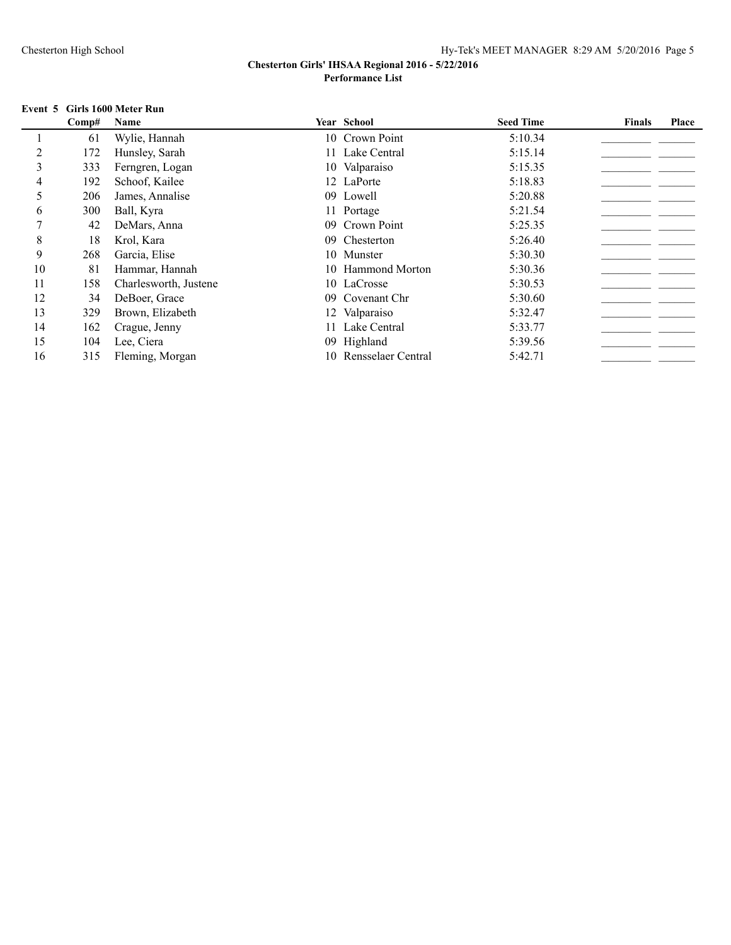### **Event 5 Girls 1600 Meter Run**

|    | Comp# | Name                  |     | <b>Year School</b>    | <b>Seed Time</b> | <b>Finals</b> | Place |
|----|-------|-----------------------|-----|-----------------------|------------------|---------------|-------|
|    | 61    | Wylie, Hannah         |     | 10 Crown Point        | 5:10.34          |               |       |
| 2  | 172   | Hunsley, Sarah        |     | 11 Lake Central       | 5:15.14          |               |       |
| 3  | 333   | Ferngren, Logan       |     | 10 Valparaiso         | 5:15.35          |               |       |
| 4  | 192   | Schoof, Kailee        |     | 12 LaPorte            | 5:18.83          |               |       |
| 5  | 206   | James, Annalise       |     | 09 Lowell             | 5:20.88          |               |       |
| 6  | 300   | Ball, Kyra            |     | 11 Portage            | 5:21.54          |               |       |
|    | 42    | DeMars, Anna          | 09. | Crown Point           | 5:25.35          |               |       |
| 8  | 18    | Krol, Kara            | 09. | Chesterton            | 5:26.40          |               |       |
| 9  | 268   | Garcia, Elise         |     | 10 Munster            | 5:30.30          |               |       |
| 10 | 81    | Hammar, Hannah        |     | 10 Hammond Morton     | 5:30.36          |               |       |
| 11 | 158   | Charlesworth, Justene |     | 10 LaCrosse           | 5:30.53          |               |       |
| 12 | 34    | DeBoer, Grace         | 09. | Covenant Chr          | 5:30.60          |               |       |
| 13 | 329   | Brown, Elizabeth      |     | 12 Valparaiso         | 5:32.47          |               |       |
| 14 | 162   | Crague, Jenny         |     | 11 Lake Central       | 5:33.77          |               |       |
| 15 | 104   | Lee, Ciera            |     | 09 Highland           | 5:39.56          |               |       |
| 16 | 315   | Fleming, Morgan       |     | 10 Rensselaer Central | 5:42.71          |               |       |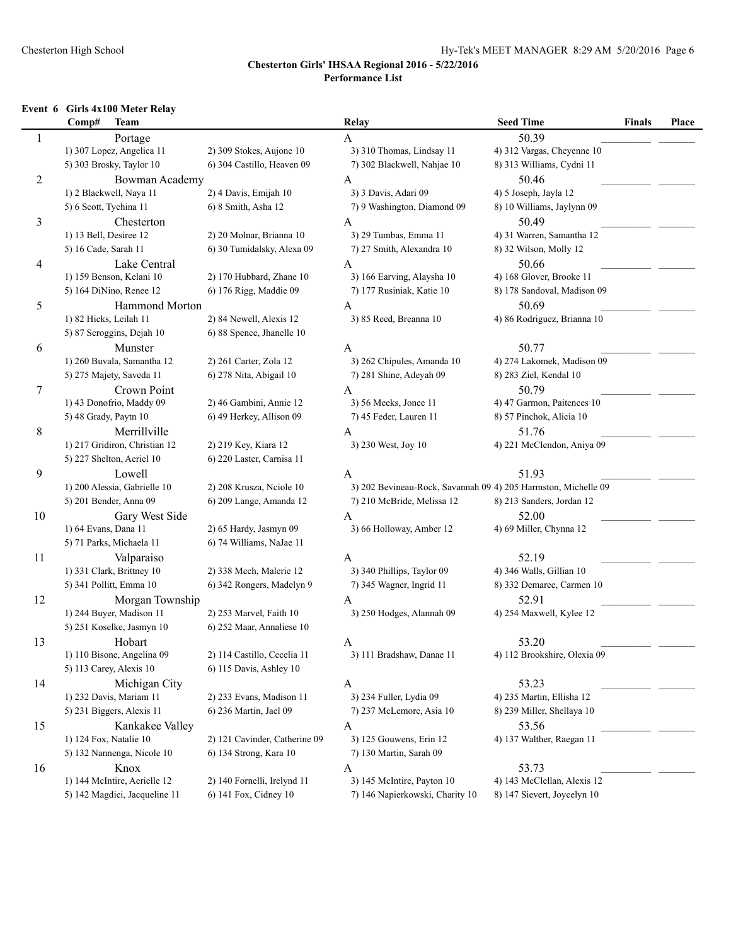#### Chesterton High School Hy-Tek's MEET MANAGER 8:29 AM 5/20/2016 Page 6

#### **Chesterton Girls' IHSAA Regional 2016 - 5/22/2016 Performance List**

#### **Event 6 Girls 4x100 Meter Relay**

|                | <b>Team</b><br>Comp#          |                               | Relay                                                          | <b>Seed Time</b>             | <b>Finals</b> | Place |
|----------------|-------------------------------|-------------------------------|----------------------------------------------------------------|------------------------------|---------------|-------|
| 1              | Portage                       |                               | A                                                              | 50.39                        |               |       |
|                | 1) 307 Lopez, Angelica 11     | 2) 309 Stokes, Aujone 10      | 3) 310 Thomas, Lindsay 11                                      | 4) 312 Vargas, Cheyenne 10   |               |       |
|                | 5) 303 Brosky, Taylor 10      | 6) 304 Castillo, Heaven 09    | 7) 302 Blackwell, Nahjae 10                                    | 8) 313 Williams, Cydni 11    |               |       |
| $\overline{c}$ | Bowman Academy                |                               | $\mathbf{A}$                                                   | 50.46                        |               |       |
|                | 1) 2 Blackwell, Naya 11       | 2) 4 Davis, Emijah 10         | 3) 3 Davis, Adari 09                                           | 4) 5 Joseph, Jayla 12        |               |       |
|                | 5) 6 Scott, Tychina 11        | 6) 8 Smith, Asha 12           | 7) 9 Washington, Diamond 09                                    | 8) 10 Williams, Jaylynn 09   |               |       |
| 3              | Chesterton                    |                               | A                                                              | 50.49                        |               |       |
|                | 1) 13 Bell, Desiree 12        | 2) 20 Molnar, Brianna 10      | 3) 29 Tumbas, Emma 11                                          | 4) 31 Warren, Samantha 12    |               |       |
|                | 5) 16 Cade, Sarah 11          | 6) 30 Tumidalsky, Alexa 09    | 7) 27 Smith, Alexandra 10                                      | 8) 32 Wilson, Molly 12       |               |       |
| $\overline{4}$ | Lake Central                  |                               | $\mathbf{A}$                                                   | 50.66                        |               |       |
|                | 1) 159 Benson, Kelani 10      | 2) 170 Hubbard, Zhane 10      | 3) 166 Earving, Alaysha 10                                     | 4) 168 Glover, Brooke 11     |               |       |
|                | 5) 164 DiNino, Renee 12       | 6) 176 Rigg, Maddie 09        | 7) 177 Rusiniak, Katie 10                                      | 8) 178 Sandoval, Madison 09  |               |       |
| 5              | Hammond Morton                |                               | A                                                              | 50.69                        |               |       |
|                | 1) 82 Hicks, Leilah 11        | 2) 84 Newell, Alexis 12       | 3) 85 Reed, Breanna 10                                         | 4) 86 Rodriguez, Brianna 10  |               |       |
|                | 5) 87 Scroggins, Dejah 10     | 6) 88 Spence, Jhanelle 10     |                                                                |                              |               |       |
| 6              | Munster                       |                               | A                                                              | 50.77                        |               |       |
|                | 1) 260 Buvala, Samantha 12    | 2) 261 Carter, Zola 12        | 3) 262 Chipules, Amanda 10                                     | 4) 274 Lakomek, Madison 09   |               |       |
|                | 5) 275 Majety, Saveda 11      | 6) 278 Nita, Abigail 10       | 7) 281 Shine, Adeyah 09                                        | 8) 283 Ziel, Kendal 10       |               |       |
| 7              | Crown Point                   |                               | A                                                              | 50.79                        |               |       |
|                | 1) 43 Donofrio, Maddy 09      | 2) 46 Gambini, Annie 12       | 3) 56 Meeks, Jonee 11                                          | 4) 47 Garmon, Paitences 10   |               |       |
|                | 5) 48 Grady, Paytn 10         | 6) 49 Herkey, Allison 09      | 7) 45 Feder, Lauren 11                                         | 8) 57 Pinchok, Alicia 10     |               |       |
| 8              | Merrillville                  |                               | A                                                              | 51.76                        |               |       |
|                | 1) 217 Gridiron, Christian 12 | 2) 219 Key, Kiara 12          | 3) 230 West, Joy 10                                            | 4) 221 McClendon, Aniya 09   |               |       |
|                | 5) 227 Shelton, Aeriel 10     | 6) 220 Laster, Carnisa 11     |                                                                |                              |               |       |
| 9              | Lowell                        |                               | A                                                              | 51.93                        |               |       |
|                | 1) 200 Alessia, Gabrielle 10  | 2) 208 Krusza, Neiole 10      | 3) 202 Bevineau-Rock, Savannah 09 4) 205 Harmston, Michelle 09 |                              |               |       |
|                | 5) 201 Bender, Anna 09        | 6) 209 Lange, Amanda 12       | 7) 210 McBride, Melissa 12                                     | 8) 213 Sanders, Jordan 12    |               |       |
| 10             | Gary West Side                |                               | $\mathbf{A}$                                                   | 52.00                        |               |       |
|                | 1) 64 Evans, Dana 11          | 2) 65 Hardy, Jasmyn 09        | 3) 66 Holloway, Amber 12                                       | 4) 69 Miller, Chynna 12      |               |       |
|                | 5) 71 Parks, Michaela 11      | 6) 74 Williams, NaJae 11      |                                                                |                              |               |       |
| 11             | Valparaiso                    |                               | A                                                              | 52.19                        |               |       |
|                | 1) 331 Clark, Brittney 10     | 2) 338 Mech, Malerie 12       | 3) 340 Phillips, Taylor 09                                     | 4) 346 Walls, Gillian 10     |               |       |
|                | 5) 341 Pollitt, Emma 10       | 6) 342 Rongers, Madelyn 9     | 7) 345 Wagner, Ingrid 11                                       | 8) 332 Demaree, Carmen 10    |               |       |
| 12             | Morgan Township               |                               | A                                                              | 52.91                        |               |       |
|                | 1) 244 Buyer, Madison 11      | 2) 253 Marvel, Faith 10       | 3) 250 Hodges, Alannah 09                                      | 4) 254 Maxwell, Kylee 12     |               |       |
|                | 5) 251 Koselke, Jasmyn 10     | 6) 252 Maar, Annaliese 10     |                                                                |                              |               |       |
| 13             | Hobart                        |                               | A                                                              | 53.20                        |               |       |
|                | 1) 110 Bisone, Angelina 09    | 2) 114 Castillo, Cecelia 11   | 3) 111 Bradshaw, Danae 11                                      | 4) 112 Brookshire, Olexia 09 |               |       |
|                | 5) 113 Carey, Alexis 10       | 6) 115 Davis, Ashley 10       |                                                                |                              |               |       |
| 14             | Michigan City                 |                               | A                                                              | 53.23                        |               |       |
|                | 1) 232 Davis, Mariam 11       | 2) 233 Evans, Madison 11      | 3) 234 Fuller, Lydia 09                                        | 4) 235 Martin, Ellisha 12    |               |       |
|                | 5) 231 Biggers, Alexis 11     | 6) 236 Martin, Jael 09        | 7) 237 McLemore, Asia 10                                       | 8) 239 Miller, Shellaya 10   |               |       |
| 15             | Kankakee Valley               |                               | A                                                              | 53.56                        |               |       |
|                | 1) 124 Fox, Natalie 10        | 2) 121 Cavinder, Catherine 09 | 3) 125 Gouwens, Erin 12                                        | 4) 137 Walther, Raegan 11    |               |       |
|                | 5) 132 Nannenga, Nicole 10    | 6) 134 Strong, Kara 10        | 7) 130 Martin, Sarah 09                                        |                              |               |       |
| 16             | Knox                          |                               | A                                                              | 53.73                        |               |       |
|                | 1) 144 McIntire, Aerielle 12  | 2) 140 Fornelli, Irelynd 11   | 3) 145 McIntire, Payton 10                                     | 4) 143 McClellan, Alexis 12  |               |       |
|                | 5) 142 Magdici, Jacqueline 11 | 6) 141 Fox, Cidney 10         | 7) 146 Napierkowski, Charity 10                                | 8) 147 Sievert, Joycelyn 10  |               |       |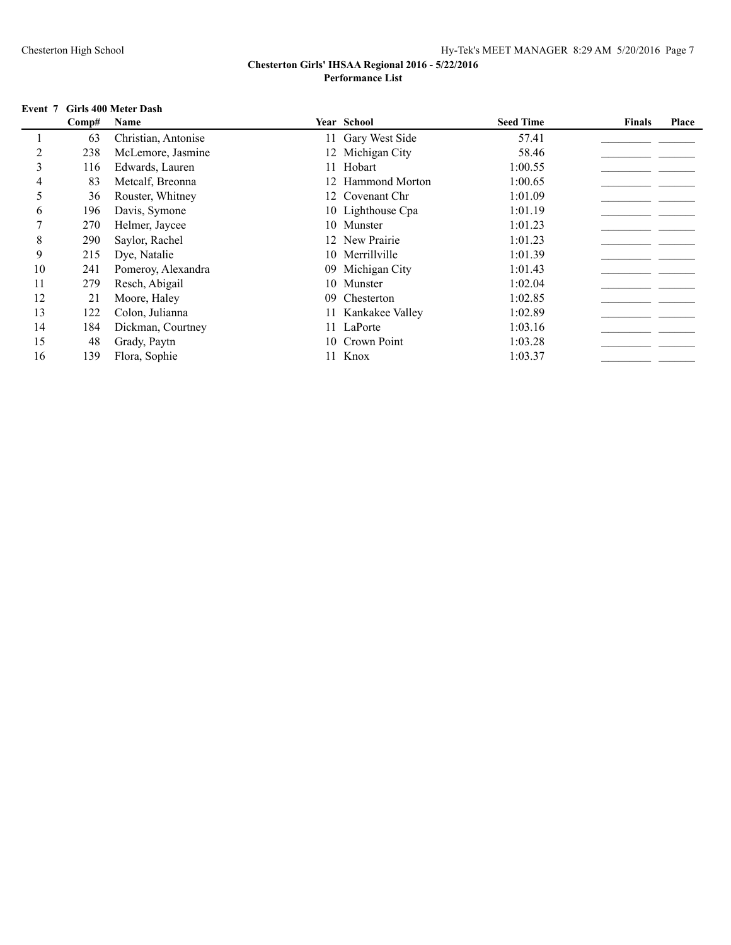## **Event 7 Girls 400 Meter Dash**

|               | Comp# | Name                |    | <b>Year School</b> | <b>Seed Time</b> | <b>Finals</b> | Place |
|---------------|-------|---------------------|----|--------------------|------------------|---------------|-------|
|               | 63    | Christian, Antonise |    | 11 Gary West Side  | 57.41            |               |       |
|               | 238   | McLemore, Jasmine   |    | 12 Michigan City   | 58.46            |               |       |
| $\mathcal{E}$ | 116   | Edwards, Lauren     |    | 11 Hobart          | 1:00.55          |               |       |
| 4             | 83    | Metcalf, Breonna    |    | 12 Hammond Morton  | 1:00.65          |               |       |
| 5             | 36    | Rouster, Whitney    |    | 12 Covenant Chr    | 1:01.09          |               |       |
| 6             | 196   | Davis, Symone       |    | 10 Lighthouse Cpa  | 1:01.19          |               |       |
|               | 270   | Helmer, Jaycee      |    | 10 Munster         | 1:01.23          |               |       |
| 8             | 290   | Saylor, Rachel      |    | 12 New Prairie     | 1:01.23          |               |       |
| 9             | 215   | Dye, Natalie        |    | 10 Merrillville    | 1:01.39          |               |       |
| 10            | 241   | Pomeroy, Alexandra  |    | 09 Michigan City   | 1:01.43          |               |       |
| 11            | 279   | Resch, Abigail      |    | 10 Munster         | 1:02.04          |               |       |
| 12            | 21    | Moore, Haley        | 09 | Chesterton         | 1:02.85          |               |       |
| 13            | 122   | Colon, Julianna     |    | 11 Kankakee Valley | 1:02.89          |               |       |
| 14            | 184   | Dickman, Courtney   |    | 11 LaPorte         | 1:03.16          |               |       |
| 15            | 48    | Grady, Paytn        |    | 10 Crown Point     | 1:03.28          |               |       |
| 16            | 139   | Flora, Sophie       |    | Knox               | 1:03.37          |               |       |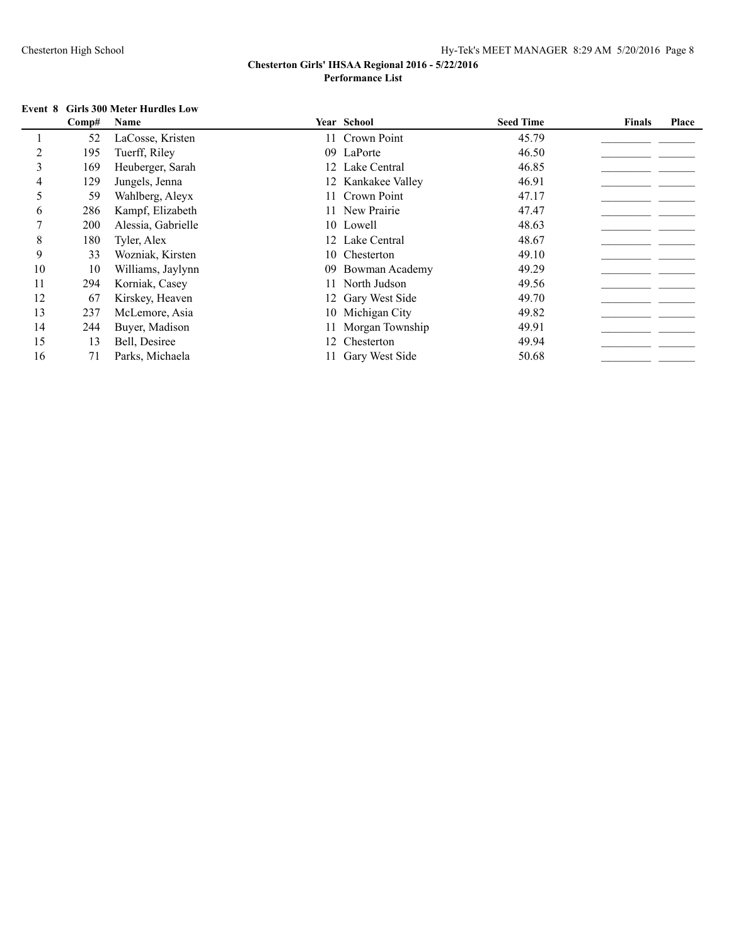#### **Event 8 Girls 300 Meter Hurdles Low**

| Comp# | Name               |  | <b>Seed Time</b>                                                                                                                                                                                                                                                                                                       | <b>Finals</b> | Place |
|-------|--------------------|--|------------------------------------------------------------------------------------------------------------------------------------------------------------------------------------------------------------------------------------------------------------------------------------------------------------------------|---------------|-------|
| 52    | LaCosse, Kristen   |  | 45.79                                                                                                                                                                                                                                                                                                                  |               |       |
| 195   | Tuerff, Riley      |  | 46.50                                                                                                                                                                                                                                                                                                                  |               |       |
| 169   | Heuberger, Sarah   |  | 46.85                                                                                                                                                                                                                                                                                                                  |               |       |
| 129   | Jungels, Jenna     |  | 46.91                                                                                                                                                                                                                                                                                                                  |               |       |
| 59    | Wahlberg, Aleyx    |  | 47.17                                                                                                                                                                                                                                                                                                                  |               |       |
| 286   | Kampf, Elizabeth   |  | 47.47                                                                                                                                                                                                                                                                                                                  |               |       |
| 200   | Alessia, Gabrielle |  | 48.63                                                                                                                                                                                                                                                                                                                  |               |       |
| 180   | Tyler, Alex        |  | 48.67                                                                                                                                                                                                                                                                                                                  |               |       |
| 33    | Wozniak, Kirsten   |  | 49.10                                                                                                                                                                                                                                                                                                                  |               |       |
| 10    | Williams, Jaylynn  |  | 49.29                                                                                                                                                                                                                                                                                                                  |               |       |
| 294   | Korniak, Casey     |  | 49.56                                                                                                                                                                                                                                                                                                                  |               |       |
| 67    | Kirskey, Heaven    |  | 49.70                                                                                                                                                                                                                                                                                                                  |               |       |
| 237   | McLemore, Asia     |  | 49.82                                                                                                                                                                                                                                                                                                                  |               |       |
| 244   | Buyer, Madison     |  | 49.91                                                                                                                                                                                                                                                                                                                  |               |       |
| 13    | Bell, Desiree      |  | 49.94                                                                                                                                                                                                                                                                                                                  |               |       |
| 71    | Parks, Michaela    |  | 50.68                                                                                                                                                                                                                                                                                                                  |               |       |
|       |                    |  | Year School<br>11 Crown Point<br>09 LaPorte<br>12 Lake Central<br>12 Kankakee Valley<br>11 Crown Point<br>11 New Prairie<br>10 Lowell<br>12 Lake Central<br>10 Chesterton<br>09 Bowman Academy<br>11 North Judson<br>12 Gary West Side<br>10 Michigan City<br>11 Morgan Township<br>12 Chesterton<br>11 Gary West Side |               |       |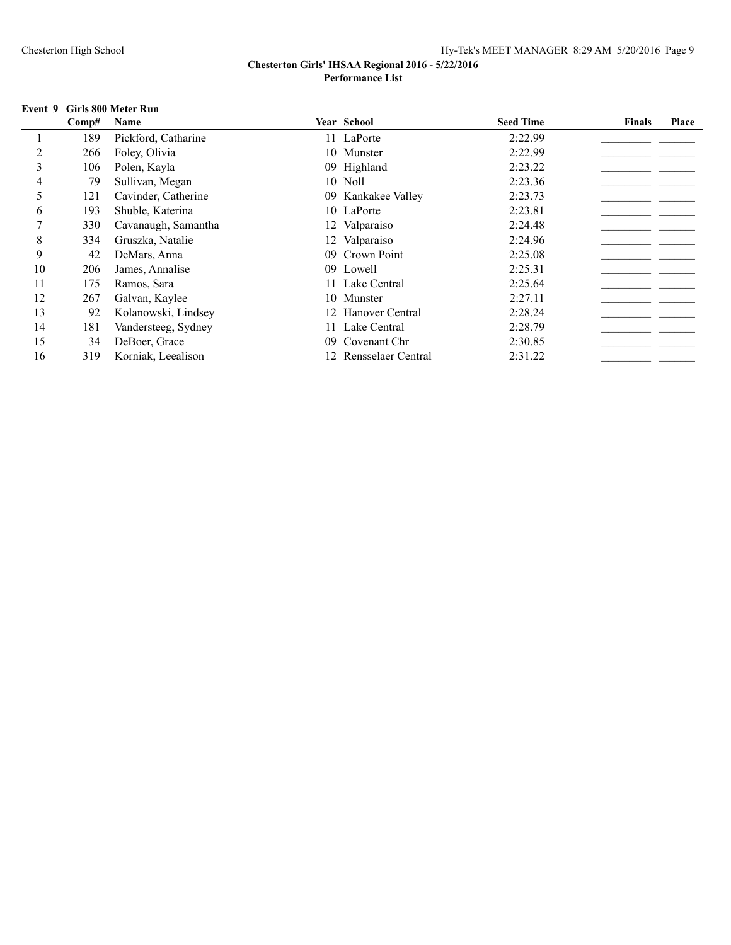#### **Event 9 Girls 800 Meter Run**

|    | Comp# | Name                |    | <b>Year School</b>    | <b>Seed Time</b> | <b>Finals</b> | Place |
|----|-------|---------------------|----|-----------------------|------------------|---------------|-------|
|    | 189   | Pickford, Catharine |    | 11 LaPorte            | 2:22.99          |               |       |
|    | 266   | Foley, Olivia       |    | 10 Munster            | 2:22.99          |               |       |
| 3  | 106   | Polen, Kayla        |    | 09 Highland           | 2:23.22          |               |       |
| 4  | 79    | Sullivan, Megan     |    | 10 Noll               | 2:23.36          |               |       |
| 5  | 121   | Cavinder, Catherine |    | 09 Kankakee Valley    | 2:23.73          |               |       |
| 6  | 193   | Shuble, Katerina    |    | 10 LaPorte            | 2:23.81          |               |       |
|    | 330   | Cavanaugh, Samantha |    | 12 Valparaiso         | 2:24.48          |               |       |
| 8  | 334   | Gruszka, Natalie    |    | 12 Valparaiso         | 2:24.96          |               |       |
| 9  | 42    | DeMars, Anna        | 09 | Crown Point           | 2:25.08          |               |       |
| 10 | 206   | James, Annalise     |    | 09 Lowell             | 2:25.31          |               |       |
| 11 | 175   | Ramos, Sara         |    | 11 Lake Central       | 2:25.64          |               |       |
| 12 | 267   | Galvan, Kaylee      |    | 10 Munster            | 2:27.11          |               |       |
| 13 | 92    | Kolanowski, Lindsey |    | 12 Hanover Central    | 2:28.24          |               |       |
| 14 | 181   | Vandersteeg, Sydney |    | 11 Lake Central       | 2:28.79          |               |       |
| 15 | 34    | DeBoer, Grace       | 09 | Covenant Chr          | 2:30.85          |               |       |
| 16 | 319   | Korniak, Leealison  |    | 12 Rensselaer Central | 2:31.22          |               |       |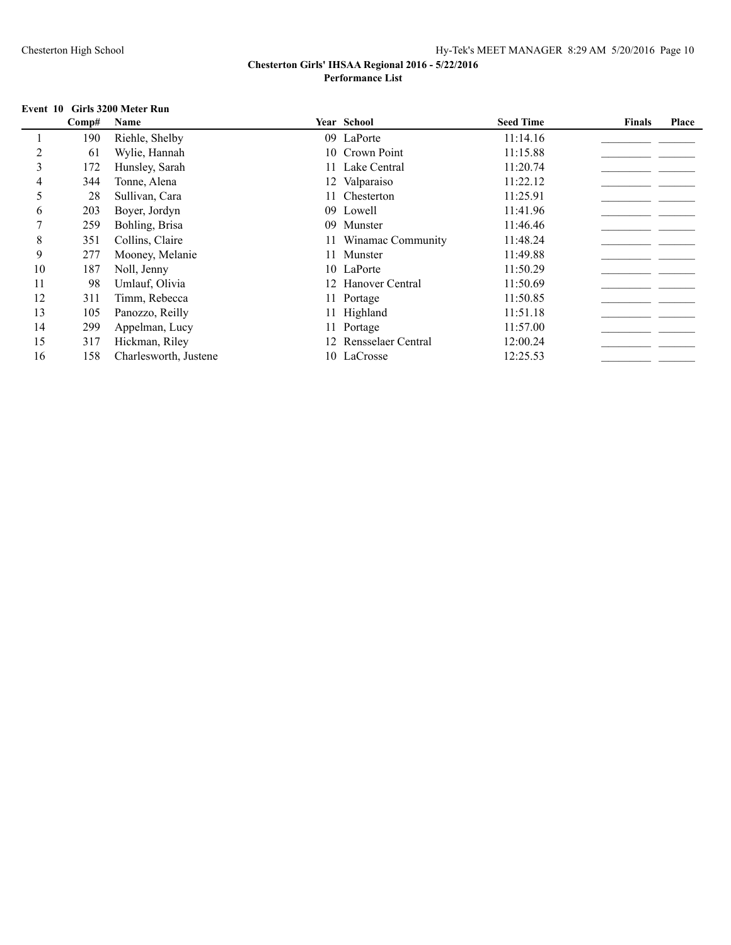## **Event 10 Girls 3200 Meter Run**

|    | Comp# | Name                  |     | Year School           | <b>Seed Time</b> | <b>Finals</b> | Place |
|----|-------|-----------------------|-----|-----------------------|------------------|---------------|-------|
|    | 190   | Riehle, Shelby        |     | 09 LaPorte            | 11:14.16         |               |       |
|    | 61    | Wylie, Hannah         |     | 10 Crown Point        | 11:15.88         |               |       |
| 3  | 172   | Hunsley, Sarah        |     | 11 Lake Central       | 11:20.74         |               |       |
|    | 344   | Tonne, Alena          |     | 12 Valparaiso         | 11:22.12         |               |       |
| 5  | 28    | Sullivan, Cara        |     | 11 Chesterton         | 11:25.91         |               |       |
| 6  | 203   | Boyer, Jordyn         |     | 09 Lowell             | 11:41.96         |               |       |
|    | 259   | Bohling, Brisa        | 09. | Munster               | 11:46.46         |               |       |
| 8  | 351   | Collins, Claire       |     | 11 Winamac Community  | 11:48.24         |               |       |
| 9  | 277   | Mooney, Melanie       |     | 11 Munster            | 11:49.88         |               |       |
| 10 | 187   | Noll, Jenny           |     | 10 LaPorte            | 11:50.29         |               |       |
| 11 | 98    | Umlauf, Olivia        |     | 12 Hanover Central    | 11:50.69         |               |       |
| 12 | 311   | Timm, Rebecca         |     | 11 Portage            | 11:50.85         |               |       |
| 13 | 105   | Panozzo, Reilly       |     | 11 Highland           | 11:51.18         |               |       |
| 14 | 299   | Appelman, Lucy        |     | 11 Portage            | 11:57.00         |               |       |
| 15 | 317   | Hickman, Riley        |     | 12 Rensselaer Central | 12:00.24         |               |       |
| 16 | 158   | Charlesworth, Justene |     | 10 LaCrosse           | 12:25.53         |               |       |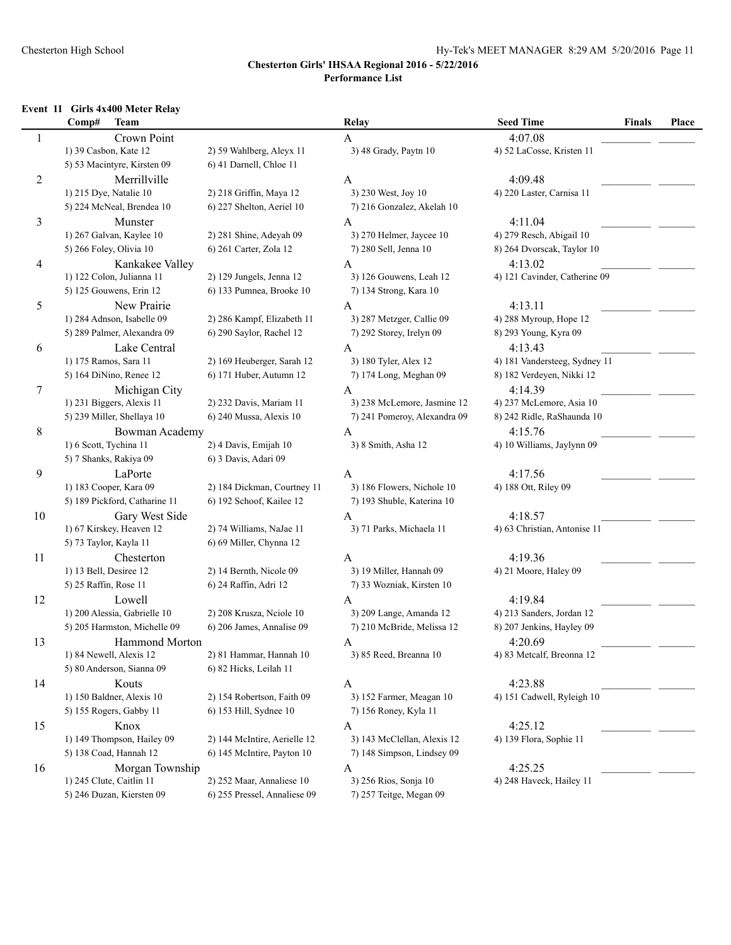### **Event 11 Girls 4x400 Meter Relay**

|                | Comp#<br><b>Team</b>          |                              | Relay                        | <b>Seed Time</b>              | <b>Finals</b> | Place |
|----------------|-------------------------------|------------------------------|------------------------------|-------------------------------|---------------|-------|
| $\mathbf{1}$   | Crown Point                   |                              | A                            | 4:07.08                       |               |       |
|                | 1) 39 Casbon, Kate 12         | 2) 59 Wahlberg, Aleyx 11     | 3) 48 Grady, Paytn 10        | 4) 52 LaCosse, Kristen 11     |               |       |
|                | 5) 53 Macintyre, Kirsten 09   | 6) 41 Darnell, Chloe 11      |                              |                               |               |       |
| $\overline{c}$ | Merrillville                  |                              | A                            | 4:09.48                       |               |       |
|                | 1) 215 Dye, Natalie 10        | 2) 218 Griffin, Maya 12      | 3) 230 West, Joy 10          | 4) 220 Laster, Carnisa 11     |               |       |
|                | 5) 224 McNeal, Brendea 10     | 6) 227 Shelton, Aeriel 10    | 7) 216 Gonzalez, Akelah 10   |                               |               |       |
| 3              | Munster                       |                              | A                            | 4:11.04                       |               |       |
|                | 1) 267 Galvan, Kaylee 10      | 2) 281 Shine, Adeyah 09      | 3) 270 Helmer, Jaycee 10     | 4) 279 Resch, Abigail 10      |               |       |
|                | 5) 266 Foley, Olivia 10       | 6) 261 Carter, Zola 12       | 7) 280 Sell, Jenna 10        | 8) 264 Dvorscak, Taylor 10    |               |       |
|                | Kankakee Valley               |                              |                              | 4:13.02                       |               |       |
| 4              | 1) 122 Colon, Julianna 11     |                              | A                            | 4) 121 Cavinder, Catherine 09 |               |       |
|                |                               | 2) 129 Jungels, Jenna 12     | 3) 126 Gouwens, Leah 12      |                               |               |       |
|                | 5) 125 Gouwens, Erin 12       | 6) 133 Pumnea, Brooke 10     | 7) 134 Strong, Kara 10       |                               |               |       |
| 5              | New Prairie                   |                              | A                            | 4:13.11                       |               |       |
|                | 1) 284 Adnson, Isabelle 09    | 2) 286 Kampf, Elizabeth 11   | 3) 287 Metzger, Callie 09    | 4) 288 Myroup, Hope 12        |               |       |
|                | 5) 289 Palmer, Alexandra 09   | 6) 290 Saylor, Rachel 12     | 7) 292 Storey, Irelyn 09     | 8) 293 Young, Kyra 09         |               |       |
| 6              | Lake Central                  |                              | $\mathbf{A}$                 | 4:13.43                       |               |       |
|                | 1) 175 Ramos, Sara 11         | 2) 169 Heuberger, Sarah 12   | 3) 180 Tyler, Alex 12        | 4) 181 Vandersteeg, Sydney 11 |               |       |
|                | 5) 164 DiNino, Renee 12       | 6) 171 Huber, Autumn 12      | 7) 174 Long, Meghan 09       | 8) 182 Verdeyen, Nikki 12     |               |       |
| 7              | Michigan City                 |                              | A                            | 4:14.39                       |               |       |
|                | 1) 231 Biggers, Alexis 11     | 2) 232 Davis, Mariam 11      | 3) 238 McLemore, Jasmine 12  | 4) 237 McLemore, Asia 10      |               |       |
|                | 5) 239 Miller, Shellaya 10    | 6) 240 Mussa, Alexis 10      | 7) 241 Pomeroy, Alexandra 09 | 8) 242 Ridle, RaShaunda 10    |               |       |
| 8              | Bowman Academy                |                              | A                            | 4:15.76                       |               |       |
|                | 1) 6 Scott, Tychina 11        | 2) 4 Davis, Emijah 10        | 3) 8 Smith, Asha 12          | 4) 10 Williams, Jaylynn 09    |               |       |
|                | 5) 7 Shanks, Rakiya 09        | 6) 3 Davis, Adari 09         |                              |                               |               |       |
| 9              | LaPorte                       |                              | A                            | 4:17.56                       |               |       |
|                | 1) 183 Cooper, Kara 09        | 2) 184 Dickman, Courtney 11  | 3) 186 Flowers, Nichole 10   | 4) 188 Ott, Riley 09          |               |       |
|                | 5) 189 Pickford, Catharine 11 | 6) 192 Schoof, Kailee 12     | 7) 193 Shuble, Katerina 10   |                               |               |       |
| 10             | Gary West Side                |                              | $\mathbf{A}$                 | 4:18.57                       |               |       |
|                | 1) 67 Kirskey, Heaven 12      | 2) 74 Williams, NaJae 11     | 3) 71 Parks, Michaela 11     | 4) 63 Christian, Antonise 11  |               |       |
|                | 5) 73 Taylor, Kayla 11        | 6) 69 Miller, Chynna 12      |                              |                               |               |       |
| 11             | Chesterton                    |                              | A                            | 4:19.36                       |               |       |
|                | 1) 13 Bell, Desiree 12        | 2) 14 Bernth, Nicole 09      | 3) 19 Miller, Hannah 09      | 4) 21 Moore, Haley 09         |               |       |
|                | 5) 25 Raffin, Rose 11         | 6) 24 Raffin, Adri 12        | 7) 33 Wozniak, Kirsten 10    |                               |               |       |
| 12             | Lowell                        |                              | A                            | 4:19.84                       |               |       |
|                | 1) 200 Alessia, Gabrielle 10  | 2) 208 Krusza, Neiole 10     | 3) 209 Lange, Amanda 12      | 4) 213 Sanders, Jordan 12     |               |       |
|                | 5) 205 Harmston, Michelle 09  | 6) 206 James, Annalise 09    | 7) 210 McBride, Melissa 12   | 8) 207 Jenkins, Hayley 09     |               |       |
| 13             | Hammond Morton                |                              | A                            | 4:20.69                       |               |       |
|                | 1) 84 Newell, Alexis 12       | 2) 81 Hammar, Hannah 10      | 3) 85 Reed, Breanna 10       | 4) 83 Metcalf, Breonna 12     |               |       |
|                | 5) 80 Anderson, Sianna 09     | 6) 82 Hicks, Leilah 11       |                              |                               |               |       |
| 14             | Kouts                         |                              | $\mathbf{A}$                 | 4:23.88                       |               |       |
|                | 1) 150 Baldner, Alexis 10     | 2) 154 Robertson, Faith 09   | 3) 152 Farmer, Meagan 10     | 4) 151 Cadwell, Ryleigh 10    |               |       |
|                | 5) 155 Rogers, Gabby 11       | 6) 153 Hill, Sydnee 10       | 7) 156 Roney, Kyla 11        |                               |               |       |
| 15             | Knox                          |                              | A                            | 4:25.12                       |               |       |
|                | 1) 149 Thompson, Hailey 09    | 2) 144 McIntire, Aerielle 12 | 3) 143 McClellan, Alexis 12  | 4) 139 Flora, Sophie 11       |               |       |
|                | 5) 138 Coad, Hannah 12        | 6) 145 McIntire, Payton 10   | 7) 148 Simpson, Lindsey 09   |                               |               |       |
|                | Morgan Township               |                              |                              | 4:25.25                       |               |       |
| 16             | 1) 245 Clute, Caitlin 11      | 2) 252 Maar, Annaliese 10    | A<br>3) 256 Rios, Sonja 10   | 4) 248 Haveck, Hailey 11      |               |       |
|                | 5) 246 Duzan, Kiersten 09     | 6) 255 Pressel, Annaliese 09 | 7) 257 Teitge, Megan 09      |                               |               |       |
|                |                               |                              |                              |                               |               |       |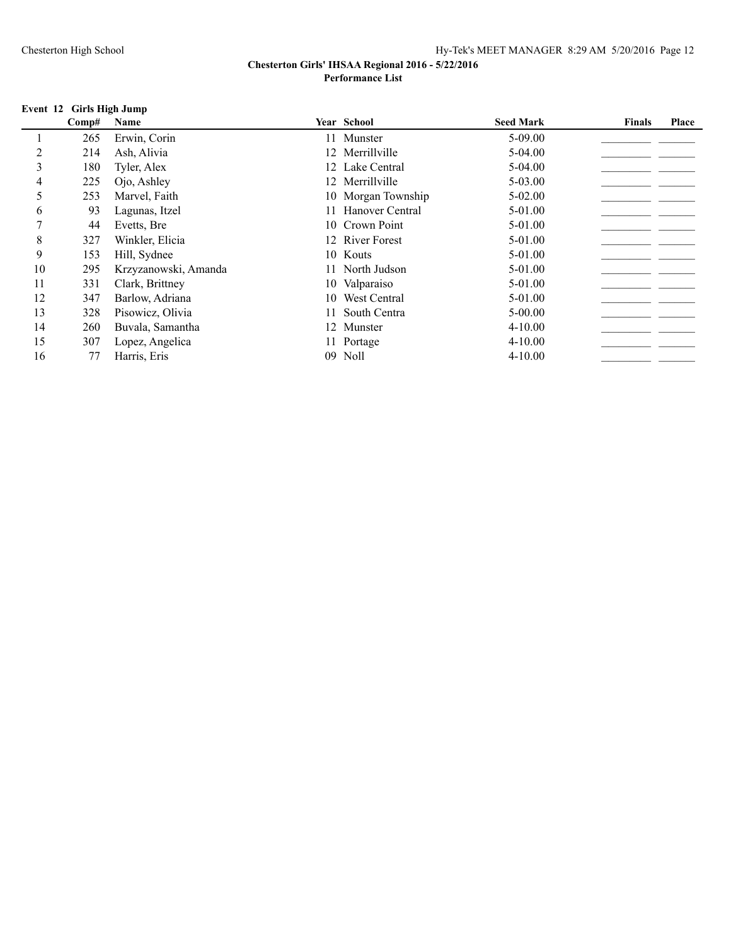## **Event 12 Girls High Jump**

|               | Comp# | Name                 |    | <b>Year School</b> | <b>Seed Mark</b> | <b>Finals</b> | Place |
|---------------|-------|----------------------|----|--------------------|------------------|---------------|-------|
|               | 265   | Erwin, Corin         |    | 11 Munster         | $5-09.00$        |               |       |
|               | 214   | Ash, Alivia          |    | 12 Merrillville    | $5-04.00$        |               |       |
| $\mathcal{E}$ | 180   | Tyler, Alex          |    | 12 Lake Central    | 5-04.00          |               |       |
| 4             | 225   | Ojo, Ashley          |    | 12 Merrillville    | $5 - 03.00$      |               |       |
| 5             | 253   | Marvel, Faith        |    | 10 Morgan Township | $5 - 02.00$      |               |       |
| 6             | 93    | Lagunas, Itzel       | 11 | Hanover Central    | 5-01.00          |               |       |
|               | 44    | Evetts, Bre          |    | 10 Crown Point     | 5-01.00          |               |       |
| 8             | 327   | Winkler, Elicia      |    | 12 River Forest    | 5-01.00          |               |       |
| 9             | 153   | Hill, Sydnee         |    | 10 Kouts           | 5-01.00          |               |       |
| 10            | 295   | Krzyzanowski, Amanda |    | 11 North Judson    | 5-01.00          |               |       |
| 11            | 331   | Clark, Brittney      |    | 10 Valparaiso      | 5-01.00          |               |       |
| 12            | 347   | Barlow, Adriana      | 10 | West Central       | 5-01.00          |               |       |
| 13            | 328   | Pisowicz, Olivia     |    | South Centra       | $5 - 00.00$      |               |       |
| 14            | 260   | Buvala, Samantha     |    | 12 Munster         | $4 - 10.00$      |               |       |
| 15            | 307   | Lopez, Angelica      |    | 11 Portage         | $4 - 10.00$      |               |       |
| 16            | 77    | Harris, Eris         | 09 | Noll               | $4 - 10.00$      |               |       |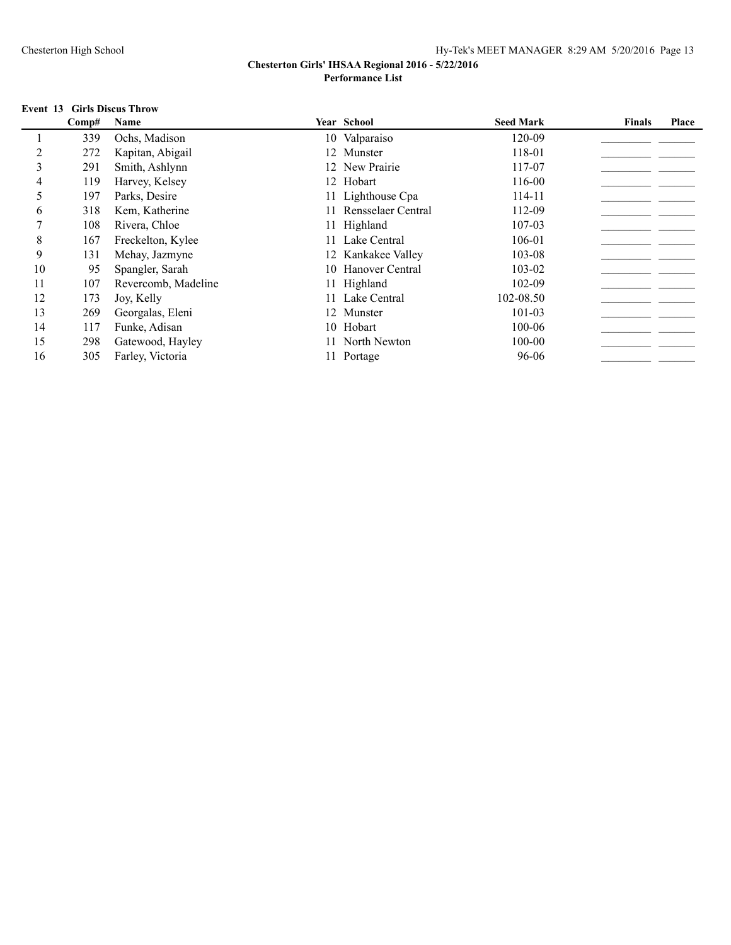### **Event 13 Girls Discus Throw**

|    | Comp# | Name                | <b>Year School</b> | <b>Seed Mark</b> | <b>Finals</b> | Place |
|----|-------|---------------------|--------------------|------------------|---------------|-------|
|    | 339   | Ochs, Madison       | 10 Valparaiso      | 120-09           |               |       |
|    | 272   | Kapitan, Abigail    | 12 Munster         | 118-01           |               |       |
| 3  | 291   | Smith, Ashlynn      | 12 New Prairie     | 117-07           |               |       |
| 4  | 119   | Harvey, Kelsey      | 12 Hobart          | 116-00           |               |       |
| 5  | 197   | Parks, Desire       | 11 Lighthouse Cpa  | 114-11           |               |       |
| 6  | 318   | Kem, Katherine      | Rensselaer Central | 112-09           |               |       |
|    | 108   | Rivera, Chloe       | 11 Highland        | 107-03           |               |       |
| 8  | 167   | Freckelton, Kylee   | 11 Lake Central    | 106-01           |               |       |
| 9  | 131   | Mehay, Jazmyne      | 12 Kankakee Valley | 103-08           |               |       |
| 10 | 95    | Spangler, Sarah     | 10 Hanover Central | 103-02           |               |       |
| 11 | 107   | Revercomb, Madeline | 11 Highland        | 102-09           |               |       |
| 12 | 173   | Joy, Kelly          | 11 Lake Central    | 102-08.50        |               |       |
| 13 | 269   | Georgalas, Eleni    | 12 Munster         | 101-03           |               |       |
| 14 | 117   | Funke, Adisan       | 10 Hobart          | 100-06           |               |       |
| 15 | 298   | Gatewood, Hayley    | 11 North Newton    | 100-00           |               |       |
| 16 | 305   | Farley, Victoria    | 11 Portage         | 96-06            |               |       |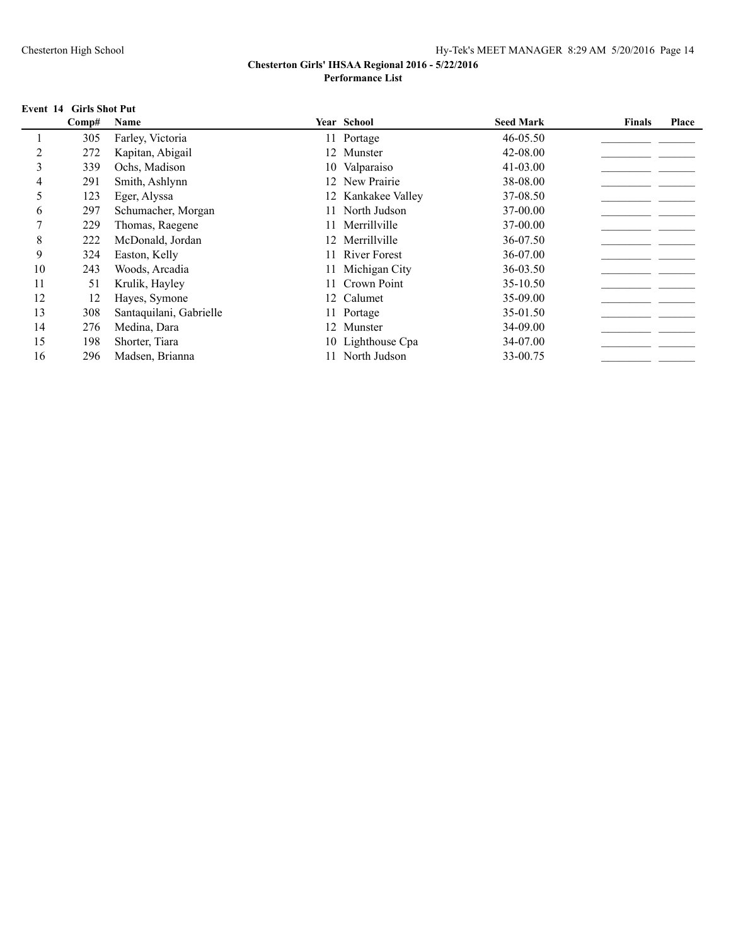### **Event 14 Girls Shot Put**

|    | Comp# | Name                    | <b>Year School</b> | <b>Seed Mark</b> | <b>Finals</b> | Place |
|----|-------|-------------------------|--------------------|------------------|---------------|-------|
|    | 305   | Farley, Victoria        | 11 Portage         | 46-05.50         |               |       |
|    | 272   | Kapitan, Abigail        | 12 Munster         | 42-08.00         |               |       |
| 3  | 339   | Ochs, Madison           | 10 Valparaiso      | 41-03.00         |               |       |
| 4  | 291   | Smith, Ashlynn          | 12 New Prairie     | 38-08.00         |               |       |
| 5  | 123   | Eger, Alyssa            | 12 Kankakee Valley | 37-08.50         |               |       |
| 6  | 297   | Schumacher, Morgan      | North Judson       | 37-00.00         |               |       |
|    | 229   | Thomas, Raegene         | 11 Merrillville    | 37-00.00         |               |       |
| 8  | 222   | McDonald, Jordan        | 12 Merrillville    | 36-07.50         |               |       |
| 9  | 324   | Easton, Kelly           | 11 River Forest    | 36-07.00         |               |       |
| 10 | 243   | Woods, Arcadia          | 11 Michigan City   | 36-03.50         |               |       |
| 11 | 51    | Krulik, Hayley          | Crown Point        | 35-10.50         |               |       |
| 12 | 12    | Hayes, Symone           | 12 Calumet         | 35-09.00         |               |       |
| 13 | 308   | Santaquilani, Gabrielle | 11 Portage         | 35-01.50         |               |       |
| 14 | 276   | Medina, Dara            | 12 Munster         | 34-09.00         |               |       |
| 15 | 198   | Shorter, Tiara          | 10 Lighthouse Cpa  | 34-07.00         |               |       |
| 16 | 296   | Madsen, Brianna         | North Judson       | 33-00.75         |               |       |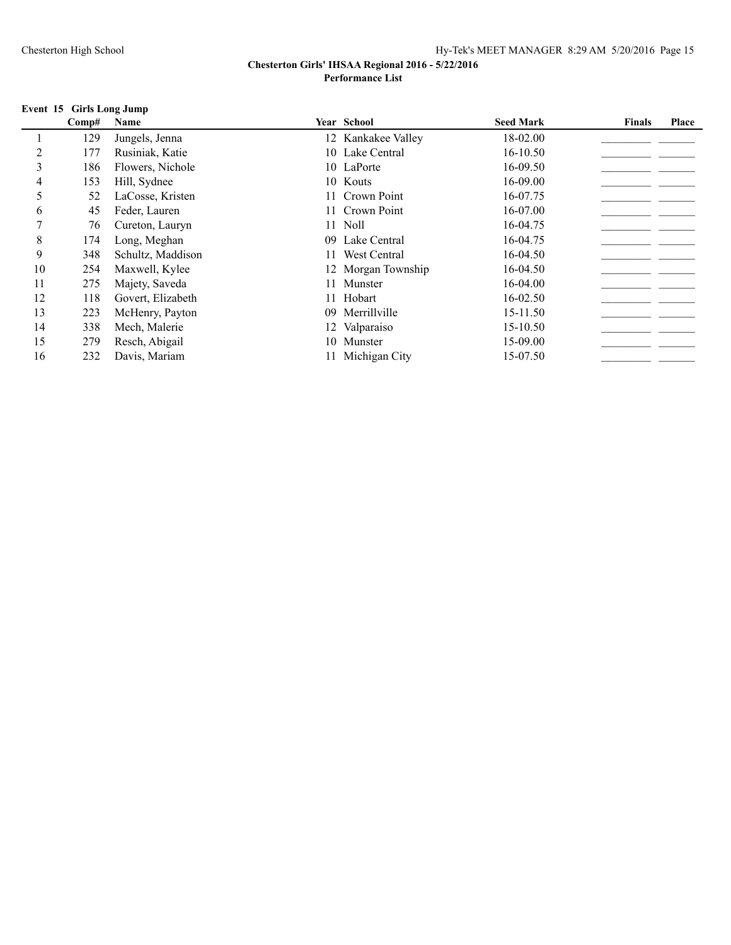#### **Event 15 Girls Long Jump**

|    | Comp# | Name              |    | <b>Year School</b> | <b>Seed Mark</b> | <b>Finals</b> | Place |
|----|-------|-------------------|----|--------------------|------------------|---------------|-------|
|    | 129   | Jungels, Jenna    |    | 12 Kankakee Valley | 18-02.00         |               |       |
|    | 177   | Rusiniak, Katie   |    | 10 Lake Central    | $16 - 10.50$     |               |       |
| 3  | 186   | Flowers, Nichole  |    | 10 LaPorte         | $16 - 09.50$     |               |       |
| 4  | 153   | Hill, Sydnee      |    | 10 Kouts           | 16-09.00         |               |       |
| 5  | 52    | LaCosse, Kristen  |    | 11 Crown Point     | 16-07.75         |               |       |
| 6  | 45    | Feder, Lauren     |    | 11 Crown Point     | 16-07.00         |               |       |
|    | 76    | Cureton, Lauryn   |    | 11 Noll            | 16-04.75         |               |       |
| 8  | 174   | Long, Meghan      |    | 09 Lake Central    | 16-04.75         |               |       |
| 9  | 348   | Schultz, Maddison |    | West Central       | 16-04.50         |               |       |
| 10 | 254   | Maxwell, Kylee    |    | 12 Morgan Township | 16-04.50         |               |       |
| 11 | 275   | Majety, Saveda    |    | 11 Munster         | 16-04.00         |               |       |
| 12 | 118   | Govert, Elizabeth |    | 11 Hobart          | 16-02.50         |               |       |
| 13 | 223   | McHenry, Payton   | 09 | Merrillville       | 15-11.50         |               |       |
| 14 | 338   | Mech, Malerie     |    | 12 Valparaiso      | 15-10.50         |               |       |
| 15 | 279   | Resch, Abigail    |    | 10 Munster         | 15-09.00         |               |       |
| 16 | 232   | Davis, Mariam     |    | 11 Michigan City   | 15-07.50         |               |       |